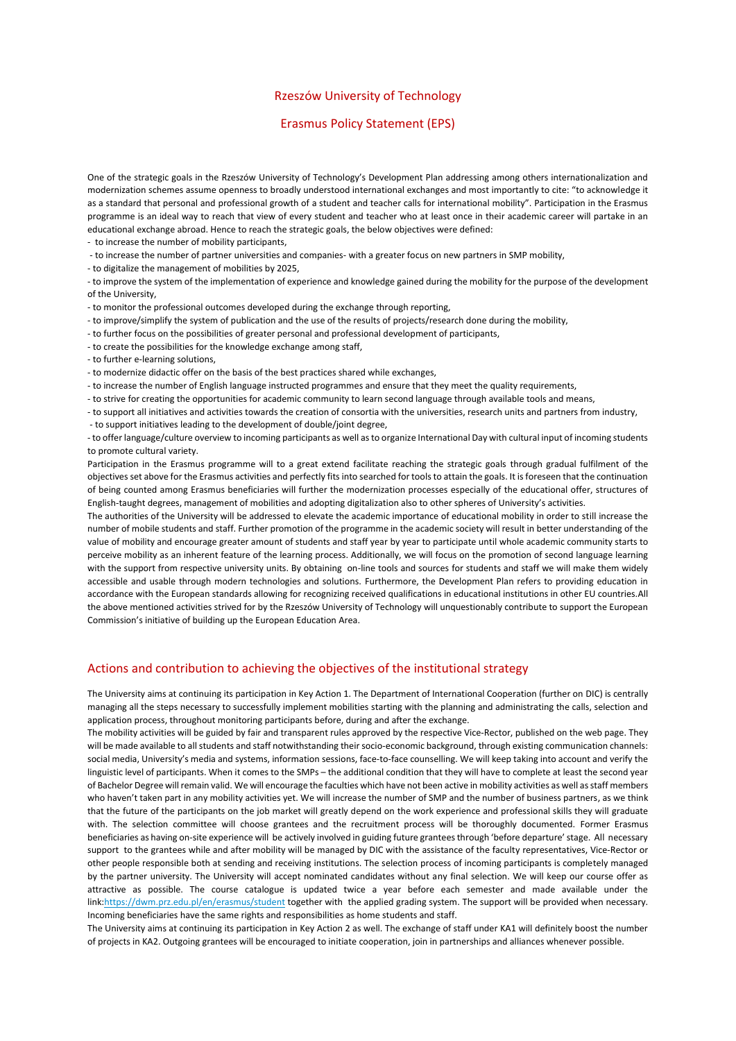## Rzeszów University of Technology

## Erasmus Policy Statement (EPS)

One of the strategic goals in the Rzeszów University of Technology's Development Plan addressing among others internationalization and modernization schemes assume openness to broadly understood international exchanges and most importantly to cite: "to acknowledge it as a standard that personal and professional growth of a student and teacher calls for international mobility". Participation in the Erasmus programme is an ideal way to reach that view of every student and teacher who at least once in their academic career will partake in an educational exchange abroad. Hence to reach the strategic goals, the below objectives were defined:

- to increase the number of mobility participants,

- to increase the number of partner universities and companies- with a greater focus on new partners in SMP mobility,

- to digitalize the management of mobilities by 2025,

- to improve the system of the implementation of experience and knowledge gained during the mobility for the purpose of the development of the University,

- to monitor the professional outcomes developed during the exchange through reporting,

- to improve/simplify the system of publication and the use of the results of projects/research done during the mobility,
- to further focus on the possibilities of greater personal and professional development of participants,
- to create the possibilities for the knowledge exchange among staff,
- to further e-learning solutions,

- to modernize didactic offer on the basis of the best practices shared while exchanges,

- to increase the number of English language instructed programmes and ensure that they meet the quality requirements,
- to strive for creating the opportunities for academic community to learn second language through available tools and means,
- to support all initiatives and activities towards the creation of consortia with the universities, research units and partners from industry,

- to support initiatives leading to the development of double/joint degree,

- to offer language/culture overview to incoming participants as well as to organize International Day with cultural input of incoming students to promote cultural variety.

Participation in the Erasmus programme will to a great extend facilitate reaching the strategic goals through gradual fulfilment of the objectives set above for the Erasmus activities and perfectly fits into searched for tools to attain the goals. It is foreseen that the continuation of being counted among Erasmus beneficiaries will further the modernization processes especially of the educational offer, structures of English-taught degrees, management of mobilities and adopting digitalization also to other spheres of University's activities.

The authorities of the University will be addressed to elevate the academic importance of educational mobility in order to still increase the number of mobile students and staff. Further promotion of the programme in the academic society will result in better understanding of the value of mobility and encourage greater amount of students and staff year by year to participate until whole academic community starts to perceive mobility as an inherent feature of the learning process. Additionally, we will focus on the promotion of second language learning with the support from respective university units. By obtaining on-line tools and sources for students and staff we will make them widely accessible and usable through modern technologies and solutions. Furthermore, the Development Plan refers to providing education in accordance with the European standards allowing for recognizing received qualifications in educational institutions in other EU countries.All the above mentioned activities strived for by the Rzeszów University of Technology will unquestionably contribute to support the European Commission's initiative of building up the European Education Area.

## Actions and contribution to achieving the objectives of the institutional strategy

The University aims at continuing its participation in Key Action 1. The Department of International Cooperation (further on DIC) is centrally managing all the steps necessary to successfully implement mobilities starting with the planning and administrating the calls, selection and application process, throughout monitoring participants before, during and after the exchange.

The mobility activities will be guided by fair and transparent rules approved by the respective Vice-Rector, published on the web page. They will be made available to all students and staff notwithstanding their socio-economic background, through existing communication channels: social media, University's media and systems, information sessions, face-to-face counselling. We will keep taking into account and verify the linguistic level of participants. When it comes to the SMPs – the additional condition that they will have to complete at least the second year of Bachelor Degree will remain valid. We will encourage the faculties which have not been active in mobility activities as well as staff members who haven't taken part in any mobility activities yet. We will increase the number of SMP and the number of business partners, as we think that the future of the participants on the job market will greatly depend on the work experience and professional skills they will graduate with. The selection committee will choose grantees and the recruitment process will be thoroughly documented. Former Erasmus beneficiaries as having on-site experience will be actively involved in guiding future grantees through 'before departure' stage. All necessary support to the grantees while and after mobility will be managed by DIC with the assistance of the faculty representatives, Vice-Rector or other people responsible both at sending and receiving institutions. The selection process of incoming participants is completely managed by the partner university. The University will accept nominated candidates without any final selection. We will keep our course offer as attractive as possible. The course catalogue is updated twice a year before each semester and made available under the lin[k:https://dwm.prz.edu.pl/en/erasmus/student](https://dwm.prz.edu.pl/en/erasmus/student) together with the applied grading system. The support will be provided when necessary. Incoming beneficiaries have the same rights and responsibilities as home students and staff.

The University aims at continuing its participation in Key Action 2 as well. The exchange of staff under KA1 will definitely boost the number of projects in KA2. Outgoing grantees will be encouraged to initiate cooperation, join in partnerships and alliances whenever possible.